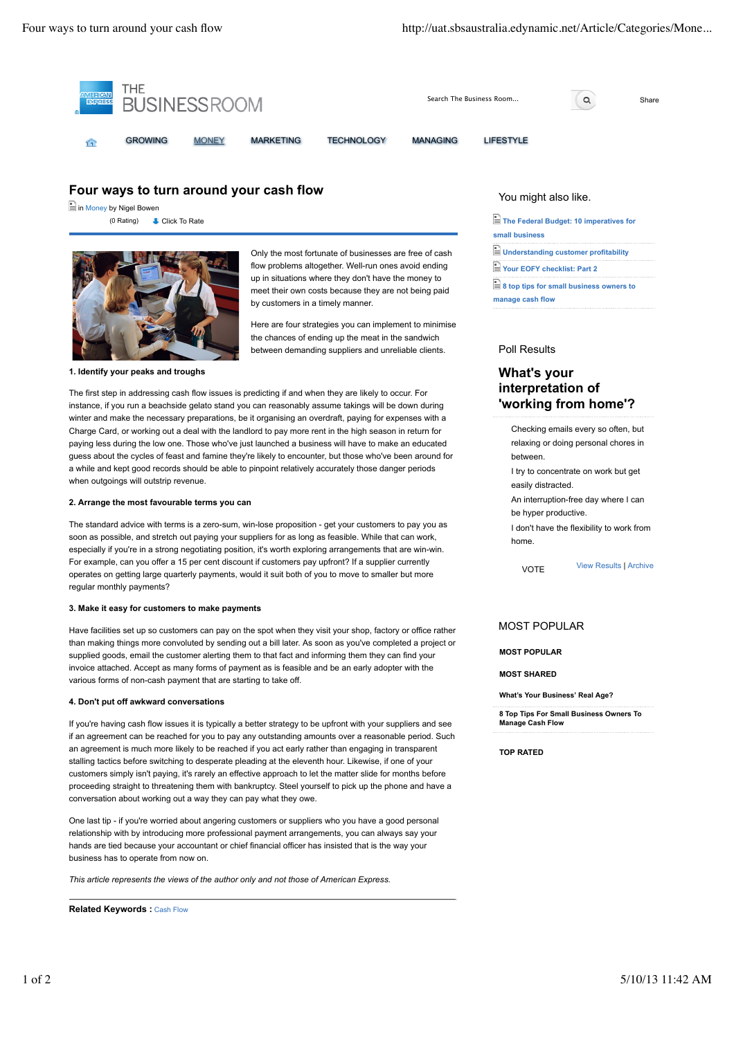

## **Four ways to turn around your cash flow**

in Money by Nigel Bowen (0 Rating)



Only the most fortunate of businesses are free of cash flow problems altogether. Well-run ones avoid ending up in situations where they don't have the money to meet their own costs because they are not being paid by customers in a timely manner.

Here are four strategies you can implement to minimise the chances of ending up the meat in the sandwich between demanding suppliers and unreliable clients.

The first step in addressing cash flow issues is predicting if and when they are likely to occur. For instance, if you run a beachside gelato stand you can reasonably assume takings will be down during winter and make the necessary preparations, be it organising an overdraft, paying for expenses with a Charge Card, or working out a deal with the landlord to pay more rent in the high season in return for paying less during the low one. Those who've just launched a business will have to make an educated guess about the cycles of feast and famine they're likely to encounter, but those who've been around for a while and kept good records should be able to pinpoint relatively accurately those danger periods when outgoings will outstrip revenue.

### **2. Arrange the most favourable terms you can**

The standard advice with terms is a zero-sum, win-lose proposition - get your customers to pay you as soon as possible, and stretch out paying your suppliers for as long as feasible. While that can work, especially if you're in a strong negotiating position, it's worth exploring arrangements that are win-win. For example, can you offer a 15 per cent discount if customers pay upfront? If a supplier currently operates on getting large quarterly payments, would it suit both of you to move to smaller but more regular monthly payments?

### **3. Make it easy for customers to make payments**

Have facilities set up so customers can pay on the spot when they visit your shop, factory or office rather than making things more convoluted by sending out a bill later. As soon as you've completed a project or supplied goods, email the customer alerting them to that fact and informing them they can find your invoice attached. Accept as many forms of payment as is feasible and be an early adopter with the various forms of non-cash payment that are starting to take off.

### **4. Don't put off awkward conversations**

If you're having cash flow issues it is typically a better strategy to be upfront with your suppliers and see if an agreement can be reached for you to pay any outstanding amounts over a reasonable period. Such an agreement is much more likely to be reached if you act early rather than engaging in transparent stalling tactics before switching to desperate pleading at the eleventh hour. Likewise, if one of your customers simply isn't paying, it's rarely an effective approach to let the matter slide for months before proceeding straight to threatening them with bankruptcy. Steel yourself to pick up the phone and have a conversation about working out a way they can pay what they owe.

One last tip - if you're worried about angering customers or suppliers who you have a good personal relationship with by introducing more professional payment arrangements, you can always say your hands are tied because your accountant or chief financial officer has insisted that is the way your business has to operate from now on.

*This article represents the views of the author only and not those of American Express.*

**Related Keywords :** Cash Flow

### You might also like.

Click To Rate **The Federal Budget: 10 imperatives for small business Understanding customer profitability Your EOFY checklist: Part 2 8 top tips for small business owners to manage cash flow**

### Poll Results

# **What's your interpretation of 'working from home'?**

Checking emails every so often, but relaxing or doing personal chores in between. I try to concentrate on work but get easily distracted. An interruption-free day where I can be hyper productive. I don't have the flexibility to work from home.

VOTE View Results | Archive

### MOST POPULAR

**MOST POPULAR**

**MOST SHARED**

**What's Your Business' Real Age?**

**8 Top Tips For Small Business Owners To Manage Cash Flow**

**TOP RATED**